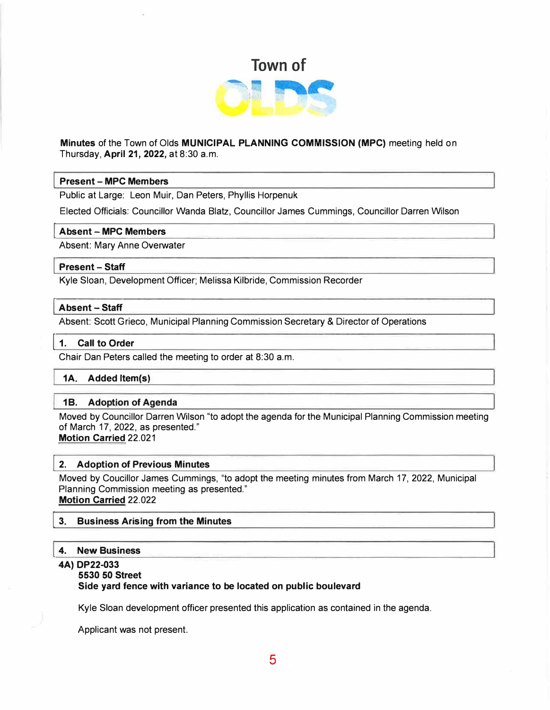

# **Minutes** of the Town of Olds **MUNICIPAL PLANNING COMMISSION (MPC)** meeting held on Thursday, **April 21, 2022,** at 8:30 a.m.

## I **Present - MPC Members**

Public at Large: Leon Muir, Dan Peters, Phyllis Horpenuk

Elected Officials: Councillor Wanda Blatz, Councillor James Cummings, Councillor Darren Wilson

#### **I Absent - MPC Members**

Absent: Mary Anne Overwater

#### I **Present - Staff**

Kyle Sloan, Development Officer; Melissa Kilbride, Commission Recorder

#### **I Absent - Staff**

Absent: Scott Grieco, Municipal Planning Commission Secretary & Director of Operations

#### 1. Call to Order

Chair Dan Peters called the meeting to order at 8:30 a.m.

### **1A. Added ltem(s)**

#### **1 B. Adoption of Agenda**

Moved by Councillor Darren Wilson "to adopt the agenda for the Municipal Planning Commission meeting of March 17, 2022, as presented." **Motion Carried** 22.021

#### I **2. Adoption of Previous Minutes**

Moved by Coucillor James Cummings, "to adopt the meeting minutes from March 17, 2022, Municipal Planning Commission meeting as presented." **Motion Carried** 22.022

#### **3. Business Arising from the Minutes**

#### I **4. New Business**

#### **4A) DP22-033**

#### **5530 50 Street**

#### **Side yard fence with variance to be located on public boulevard**

Kyle Sloan development officer presented this application as contained in the agenda.

Applicant was not present.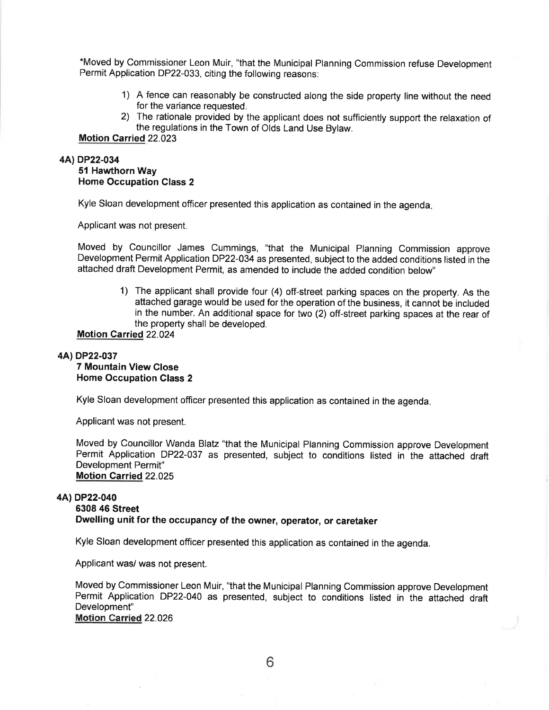\*Moved by Commissioner Leon Muir, "that the Municipal Planning Commission refuse Development Permit Application DP22-033, citing the following reasons:

- 1) A fence can reasonably be constructed along the side property line without the need for the variance requested.
- 2) The rationale provided by the applicant does not sufficiently support the relaxation of the regulations in the Town of Olds Land Use Bylaw.

## Motion Carried 22.023

#### 4AlDP22-034

51 Hawthorn Way Home Occupation Class 2

Kyle Sloan development officer presented this application as contained in the agenda

Applicant was not present.

Moved by Councillor James Cummings, "that the Municipal Planning Commission approve Development Permit Application DP22-034 as presented, subject to the added conditions listed in the attached draft Development Permit, as amended to include the added condition below"

> 1) The applicant shall provide four (4) off-street parking spaces on the property. As the attached garage would be used for the operation of the business, it cannot be included in the number. An additional space for two (2) off-street parking spaces at the rear of the property shall be developed.

#### Motion Carried 22.024

#### 4AlDP22-037

#### 7 Mountain View Close Home Occupation Class 2

Kyle Sloan development officer presented this application as contained in the agenda.

Applicant was not present.

Moved by Councillor Wanda Blatz "that the Municipal Planning Gommission approve Development Permit Application DP22-037 as presented, subject to conditions listed in the attached draft Development Permit" Motion Carried 22.025

#### 4A) DP22-040

# 6308 46 Street Dwelling unit for the occupancy of the owner, operator, or caretaker

Kyle Sloan development officer presented this application as contained in the agenda.

Applicant was/ was not present.

Moved by Commissioner Leon Muir, "that the Municipal Planning Commission approve Development Permit Application DP22-040 as presented, subject to conditions listed in the attached draft Development" Motion Carried 22.026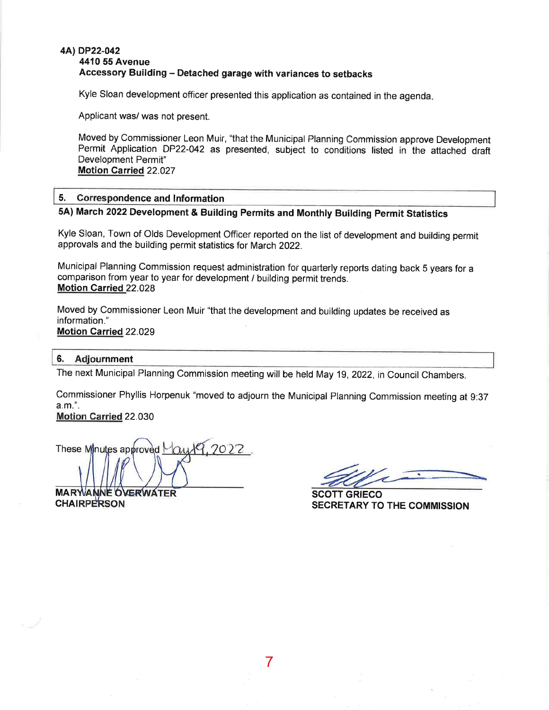## 4Al DP22-042 4410 55 Avenue Accessory Building - Detached garage with variances to setbacks

Kyle Sloan development officer presented this application as contained in the agenda

Applicant was/ was not present.

Moved by Commissioner Leon Muir, "that the Municipal Planning Commission approve Development Permit Application DP22-042 as presented, subject to conditions listed in the attached draft Development Permit" Motion Carried 22.027

## 5. Correspondence and Information

# 5A) March 2022Development & Building Permits and Monthly Building Permit Statistics

Kyle Sloan, Town of Olds Development Officer reported on the list of development and building permit approvals and the building permit statistics for March 2022.

Municipal Planning Commission request administration for quarterly reports dating back 5 years for <sup>a</sup> comparison from year to year for development / building permit trends. Motion Carried 22.028

Moved by Commissioner Leon Muir "that the development and building updates be received as information." Motion Carried 22.029

## 6. Adjournment

The next Municipal Planning Commission meeting will be held May 19,2022, in Council Chambers.

Commissioner Phyllis Horpenuk "moved to adjourn the Municipal Planning Commission meeting at 9:37 a.m.".

Motion Carried 22.030

These Minutes approved  $\forall \alpha \forall 9, 2022$ .

**CHAIRPERSON MARWANNE OVERWATER** 

SCOTT GRIECO SEGRETARY TO THE COMMISSION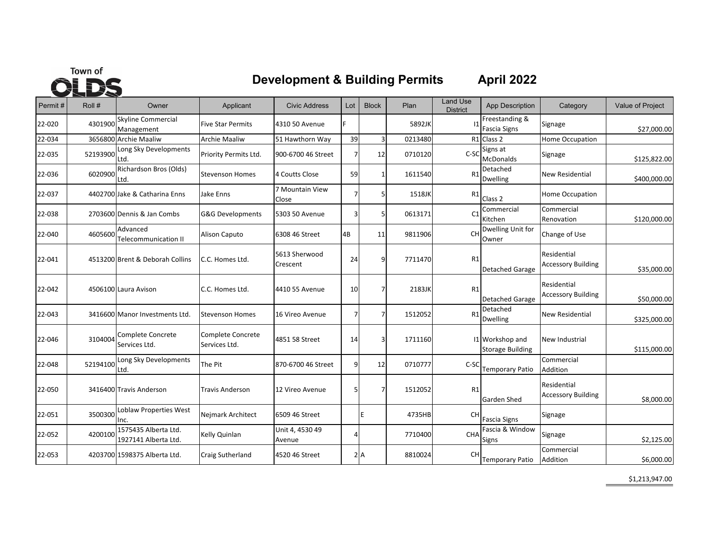

# **Development & Building Permits April 2022**

| Permit# | Roll #   | Owner                                        | Applicant                          | <b>Civic Address</b>      | Lot            | <b>Block</b> | Plan    | <b>Land Use</b><br><b>District</b> | App Description                            | Category                                 | Value of Project |
|---------|----------|----------------------------------------------|------------------------------------|---------------------------|----------------|--------------|---------|------------------------------------|--------------------------------------------|------------------------------------------|------------------|
| 22-020  | 4301900  | <b>Skyline Commercial</b><br>Management      | <b>Five Star Permits</b>           | 4310 50 Avenue            | E              |              | 5892JK  | $\overline{11}$                    | Freestanding &<br><b>Fascia Signs</b>      | Signage                                  | \$27,000.00      |
| 22-034  |          | 3656800 Archie Maaliw                        | <b>Archie Maaliw</b>               | 51 Hawthorn Way           | 39             |              | 0213480 | R1                                 | Class 2                                    | Home Occupation                          |                  |
| 22-035  | 52193900 | Long Sky Developments<br>Ltd.                | Priority Permits Ltd.              | 900-6700 46 Street        | 7              | 12           | 0710120 | $C-SC$                             | Signs at<br><b>McDonalds</b>               | Signage                                  | \$125,822.00     |
| 22-036  | 6020900  | Richardson Bros (Olds)<br>Ltd.               | <b>Stevenson Homes</b>             | 4 Coutts Close            | 59             |              | 1611540 | R1                                 | Detached<br><b>Dwelling</b>                | <b>New Residential</b>                   | \$400,000.00     |
| 22-037  |          | 4402700 Jake & Catharina Enns                | Jake Enns                          | 7 Mountain View<br>Close  | 7              |              | 1518JK  | R1                                 | Class <sub>2</sub>                         | Home Occupation                          |                  |
| 22-038  |          | 2703600 Dennis & Jan Combs                   | <b>G&amp;G Developments</b>        | 5303 50 Avenue            | $\overline{3}$ |              | 0613171 | C <sub>1</sub>                     | Commercial<br>Kitchen                      | Commercial<br>Renovation                 | \$120,000.00     |
| 22-040  | 4605600  | Advanced<br>Telecommunication II             | Alison Caputo                      | 6308 46 Street            | 4B             | 11           | 9811906 | CH                                 | Dwelling Unit for<br>Owner                 | Change of Use                            |                  |
| 22-041  |          | 4513200 Brent & Deborah Collins              | C.C. Homes Ltd.                    | 5613 Sherwood<br>Crescent | 24             | q            | 7711470 | R1                                 | <b>Detached Garage</b>                     | Residential<br><b>Accessory Building</b> | \$35,000.00      |
| 22-042  |          | 4506100 Laura Avison                         | C.C. Homes Ltd.                    | 4410 55 Avenue            | 10             |              | 2183JK  | R1                                 | Detached Garage                            | Residential<br><b>Accessory Building</b> | \$50,000.00      |
| 22-043  |          | 3416600 Manor Investments Ltd.               | <b>Stevenson Homes</b>             | 16 Vireo Avenue           | 7              |              | 1512052 | R1                                 | Detached<br>Dwelling                       | <b>New Residential</b>                   | \$325,000.00     |
| 22-046  | 3104004  | Complete Concrete<br>Services Ltd.           | Complete Concrete<br>Services Ltd. | 4851 58 Street            | 14             |              | 1711160 |                                    | 11 Workshop and<br><b>Storage Building</b> | New Industrial                           | \$115,000.00     |
| 22-048  | 52194100 | Long Sky Developments<br>Ltd.                | The Pit                            | 870-6700 46 Street        | 9              | 12           | 0710777 | C-SC                               | Temporary Patio                            | Commercial<br>Addition                   |                  |
| 22-050  |          | 3416400 Travis Anderson                      | <b>Travis Anderson</b>             | 12 Vireo Avenue           | 5              |              | 1512052 | R1                                 | Garden Shed                                | Residential<br><b>Accessory Building</b> | \$8,000.00       |
| 22-051  | 3500300  | Loblaw Properties West<br>Inc.               | Nejmark Architect                  | 6509 46 Street            |                | lE.          | 4735HB  | <b>CH</b>                          | <b>Fascia Signs</b>                        | Signage                                  |                  |
| 22-052  | 4200100  | 1575435 Alberta Ltd.<br>1927141 Alberta Ltd. | Kelly Quinlan                      | Unit 4, 4530 49<br>Avenue | $\overline{4}$ |              | 7710400 | CHA                                | Fascia & Window<br>Signs                   | Signage                                  | \$2,125.00       |
| 22-053  |          | 4203700 1598375 Alberta Ltd.                 | Craig Sutherland                   | 4520 46 Street            |                | 2A           | 8810024 | <b>CH</b>                          | <b>Temporary Patio</b>                     | Commercial<br>Addition                   | \$6,000.00       |

\$1,213,947.00